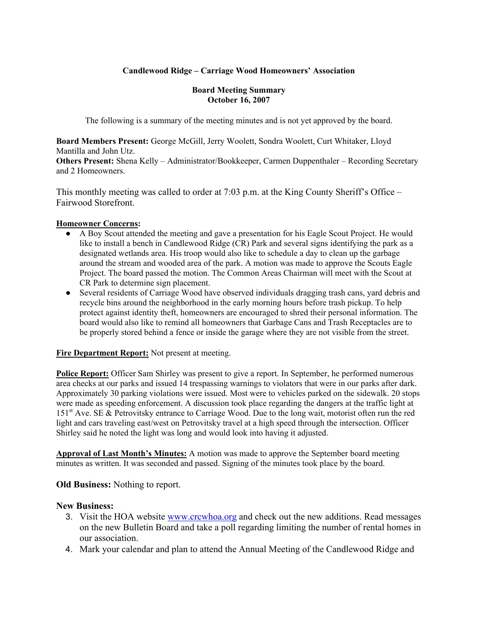# **Candlewood Ridge – Carriage Wood Homeowners' Association**

#### **Board Meeting Summary October 16, 2007**

The following is a summary of the meeting minutes and is not yet approved by the board.

**Board Members Present:** George McGill, Jerry Woolett, Sondra Woolett, Curt Whitaker, Lloyd Mantilla and John Utz. **Others Present:** Shena Kelly – Administrator/Bookkeeper, Carmen Duppenthaler – Recording Secretary and 2 Homeowners.

This monthly meeting was called to order at 7:03 p.m. at the King County Sheriff's Office – Fairwood Storefront.

### **Homeowner Concerns:**

- A Boy Scout attended the meeting and gave a presentation for his Eagle Scout Project. He would like to install a bench in Candlewood Ridge (CR) Park and several signs identifying the park as a designated wetlands area. His troop would also like to schedule a day to clean up the garbage around the stream and wooded area of the park. A motion was made to approve the Scouts Eagle Project. The board passed the motion. The Common Areas Chairman will meet with the Scout at CR Park to determine sign placement.
- Several residents of Carriage Wood have observed individuals dragging trash cans, yard debris and recycle bins around the neighborhood in the early morning hours before trash pickup. To help protect against identity theft, homeowners are encouraged to shred their personal information. The board would also like to remind all homeowners that Garbage Cans and Trash Receptacles are to be properly stored behind a fence or inside the garage where they are not visible from the street.

**Fire Department Report:** Not present at meeting.

**Police Report:** Officer Sam Shirley was present to give a report. In September, he performed numerous area checks at our parks and issued 14 trespassing warnings to violators that were in our parks after dark. Approximately 30 parking violations were issued. Most were to vehicles parked on the sidewalk. 20 stops were made as speeding enforcement. A discussion took place regarding the dangers at the traffic light at 151st Ave. SE & Petrovitsky entrance to Carriage Wood. Due to the long wait, motorist often run the red light and cars traveling east/west on Petrovitsky travel at a high speed through the intersection. Officer Shirley said he noted the light was long and would look into having it adjusted.

**Approval of Last Month's Minutes:** A motion was made to approve the September board meeting minutes as written. It was seconded and passed. Signing of the minutes took place by the board.

# **Old Business:** Nothing to report.

#### **New Business:**

- 3. Visit the HOA website www.crcwhoa.org and check out the new additions. Read messages on the new Bulletin Board and take a poll regarding limiting the number of rental homes in our association.
- 4. Mark your calendar and plan to attend the Annual Meeting of the Candlewood Ridge and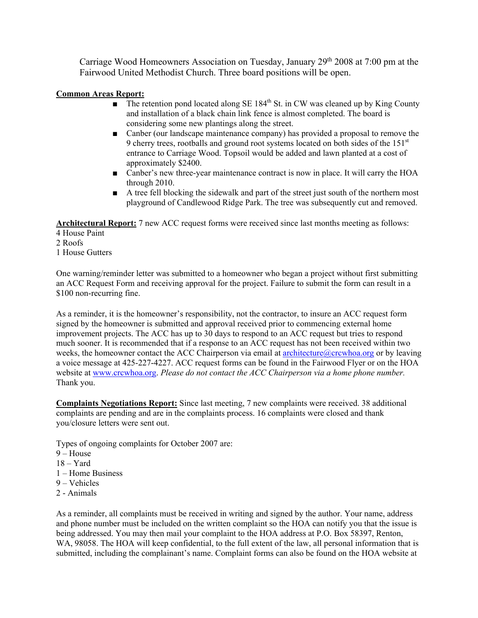Carriage Wood Homeowners Association on Tuesday, January 29th 2008 at 7:00 pm at the Fairwood United Methodist Church. Three board positions will be open.

#### **Common Areas Report:**

- $\blacksquare$  The retention pond located along SE 184<sup>th</sup> St. in CW was cleaned up by King County and installation of a black chain link fence is almost completed. The board is considering some new plantings along the street.
- Canber (our landscape maintenance company) has provided a proposal to remove the 9 cherry trees, rootballs and ground root systems located on both sides of the 151<sup>st</sup> entrance to Carriage Wood. Topsoil would be added and lawn planted at a cost of approximately \$2400.
- Canber's new three-year maintenance contract is now in place. It will carry the HOA through 2010.
- A tree fell blocking the sidewalk and part of the street just south of the northern most playground of Candlewood Ridge Park. The tree was subsequently cut and removed.

**Architectural Report:** 7 new ACC request forms were received since last months meeting as follows:

- 4 House Paint
- 2 Roofs
- 1 House Gutters

One warning/reminder letter was submitted to a homeowner who began a project without first submitting an ACC Request Form and receiving approval for the project. Failure to submit the form can result in a \$100 non-recurring fine.

As a reminder, it is the homeowner's responsibility, not the contractor, to insure an ACC request form signed by the homeowner is submitted and approval received prior to commencing external home improvement projects. The ACC has up to 30 days to respond to an ACC request but tries to respond much sooner. It is recommended that if a response to an ACC request has not been received within two weeks, the homeowner contact the ACC Chairperson via email at architecture $@c$ crcwhoa.org or by leaving a voice message at 425-227-4227. ACC request forms can be found in the Fairwood Flyer or on the HOA website at www.crcwhoa.org. *Please do not contact the ACC Chairperson via a home phone number.* Thank you.

**Complaints Negotiations Report:** Since last meeting, 7 new complaints were received. 38 additional complaints are pending and are in the complaints process. 16 complaints were closed and thank you/closure letters were sent out.

Types of ongoing complaints for October 2007 are:

- $9 House$
- $18 \text{Yard}$
- 1 Home Business
- 9 Vehicles
- 2 Animals

As a reminder, all complaints must be received in writing and signed by the author. Your name, address and phone number must be included on the written complaint so the HOA can notify you that the issue is being addressed. You may then mail your complaint to the HOA address at P.O. Box 58397, Renton, WA, 98058. The HOA will keep confidential, to the full extent of the law, all personal information that is submitted, including the complainant's name. Complaint forms can also be found on the HOA website at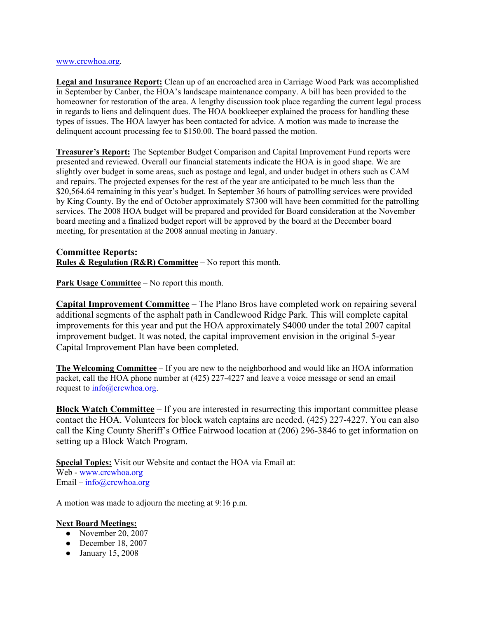#### www.crcwhoa.org.

**Legal and Insurance Report:** Clean up of an encroached area in Carriage Wood Park was accomplished in September by Canber, the HOA's landscape maintenance company. A bill has been provided to the homeowner for restoration of the area. A lengthy discussion took place regarding the current legal process in regards to liens and delinquent dues. The HOA bookkeeper explained the process for handling these types of issues. The HOA lawyer has been contacted for advice. A motion was made to increase the delinquent account processing fee to \$150.00. The board passed the motion.

**Treasurer's Report:** The September Budget Comparison and Capital Improvement Fund reports were presented and reviewed. Overall our financial statements indicate the HOA is in good shape. We are slightly over budget in some areas, such as postage and legal, and under budget in others such as CAM and repairs. The projected expenses for the rest of the year are anticipated to be much less than the \$20,564.64 remaining in this year's budget. In September 36 hours of patrolling services were provided by King County. By the end of October approximately \$7300 will have been committed for the patrolling services. The 2008 HOA budget will be prepared and provided for Board consideration at the November board meeting and a finalized budget report will be approved by the board at the December board meeting, for presentation at the 2008 annual meeting in January.

### **Committee Reports: Rules & Regulation (R&R) Committee –** No report this month.

**Park Usage Committee** – No report this month.

**Capital Improvement Committee** – The Plano Bros have completed work on repairing several additional segments of the asphalt path in Candlewood Ridge Park. This will complete capital improvements for this year and put the HOA approximately \$4000 under the total 2007 capital improvement budget. It was noted, the capital improvement envision in the original 5-year Capital Improvement Plan have been completed.

**The Welcoming Committee** – If you are new to the neighborhood and would like an HOA information packet, call the HOA phone number at (425) 227-4227 and leave a voice message or send an email request to  $\frac{\text{info}(a)\text{c}$ crcwhoa.org.

**Block Watch Committee** – If you are interested in resurrecting this important committee please contact the HOA. Volunteers for block watch captains are needed. (425) 227-4227. You can also call the King County Sheriff's Office Fairwood location at (206) 296-3846 to get information on setting up a Block Watch Program.

**Special Topics:** Visit our Website and contact the HOA via Email at: Web - www.crcwhoa.org Email  $-\frac{info(\partial_{c}c_{c}c_{c} + c_{c}c_{c})}{info(\partial_{c}c_{c}c_{c} + c_{c}c_{c})}$ 

A motion was made to adjourn the meeting at 9:16 p.m.

#### **Next Board Meetings:**

- November 20, 2007
- $\bullet$  December 18, 2007
- January 15, 2008